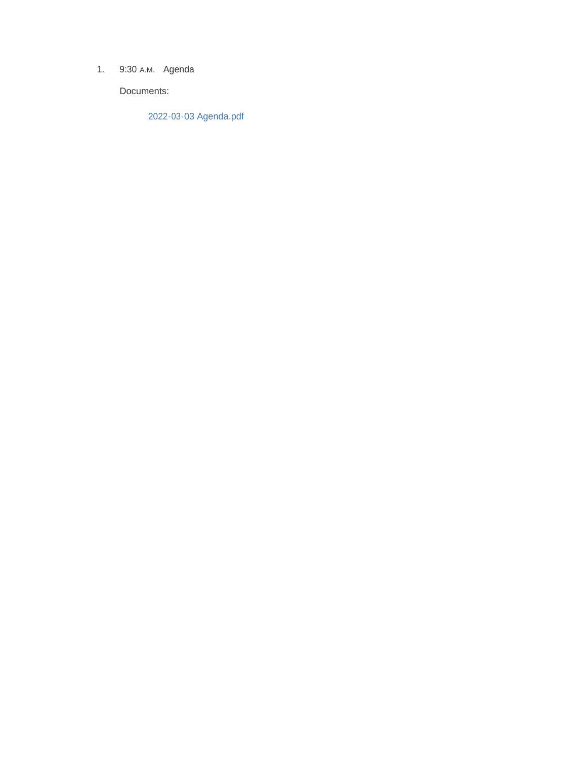1. 9:30 A.M. Agenda

Documents:

2022-03-03 Agenda.pdf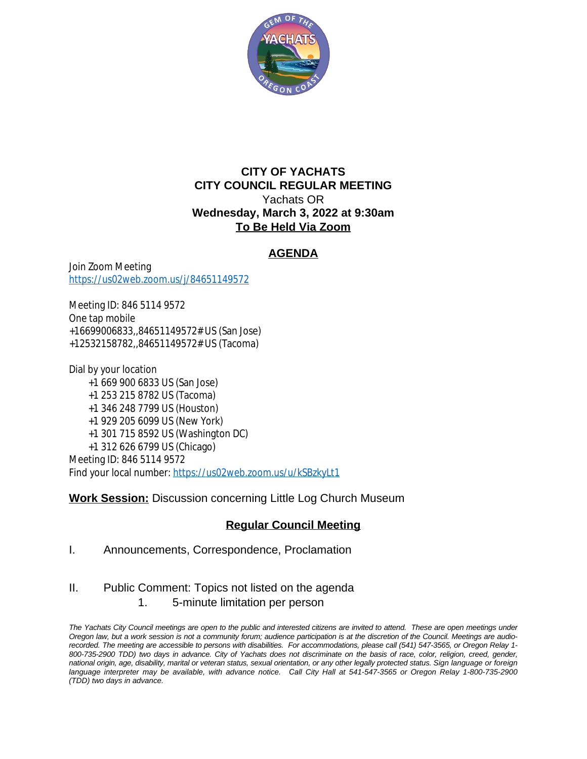

#### **CITY OF YACHATS CITY COUNCIL REGULAR MEETING** Yachats OR **Wednesday, March 3, 2022 at 9:30am To Be Held Via Zoom**

## **AGENDA**

Join Zoom Meeting <https://us02web.zoom.us/j/84651149572>

Meeting ID: 846 5114 9572 One tap mobile +16699006833,,84651149572# US (San Jose) +12532158782,,84651149572# US (Tacoma)

Dial by your location +1 669 900 6833 US (San Jose) +1 253 215 8782 US (Tacoma) +1 346 248 7799 US (Houston) +1 929 205 6099 US (New York) +1 301 715 8592 US (Washington DC) +1 312 626 6799 US (Chicago) Meeting ID: 846 5114 9572 Find your local number: <https://us02web.zoom.us/u/kSBzkyLt1>

### **Work Session:** Discussion concerning Little Log Church Museum

# **Regular Council Meeting**

- I. Announcements, Correspondence, Proclamation
- II. Public Comment: Topics not listed on the agenda
	- 1. 5-minute limitation per person

The Yachats City Council meetings are open to the public and interested citizens are invited to attend. These are open meetings under Oregon law, but a work session is not a community forum; audience participation is at the discretion of the Council. Meetings are audiorecorded. The meeting are accessible to persons with disabilities. For accommodations, please call (541) 547-3565, or Oregon Relay 1-800-735-2900 TDD) two days in advance. City of Yachats does not discriminate on the basis of race, color, religion, creed, gender, national origin, age, disability, marital or veteran status, sexual orientation, or any other legally protected status. Sign language or foreign language interpreter may be available, with advance notice. Call City Hall at 541-547-3565 or Oregon Relay 1-800-735-2900 *(TDD) two days in advance.*